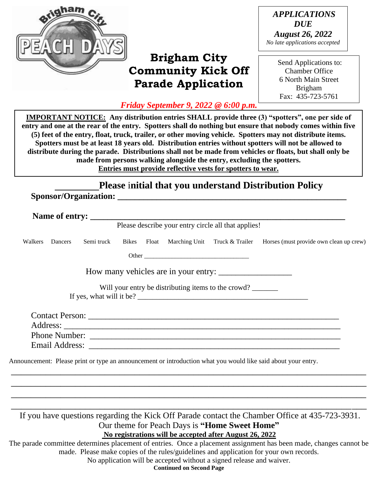

# **Brigham City Community Kick Off Parade Application**

*APPLICATIONS DUE August 26, 2022 No late applications accepted* 

> Send Applications to: Chamber Office 6 North Main Street Brigham Fax: 435-723-5761

*Friday September 9, 2022 @ 6:00 p.m.*

**IMPORTANT NOTICE: Any distribution entries SHALL provide three (3) "spotters", one per side of entry and one at the rear of the entry. Spotters shall do nothing but ensure that nobody comes within five (5) feet of the entry, float, truck, trailer, or other moving vehicle. Spotters may not distribute items. Spotters must be at least 18 years old. Distribution entries without spotters will not be allowed to distribute during the parade. Distributions shall not be made from vehicles or floats, but shall only be made from persons walking alongside the entry, excluding the spotters. Entries must provide reflective vests for spotters to wear.** 

## **Please** i**nitial that you understand Distribution Policy There are no exceptions to this Rule.**

**Sponsor/Organization: \_\_\_\_\_\_\_\_\_\_\_\_\_\_\_\_\_\_\_\_\_\_\_\_\_\_\_\_\_\_\_\_\_\_\_\_\_\_\_\_\_\_\_\_\_\_\_\_\_\_\_\_\_**

Please describe your entry circle all that applies!

Walkers Dancers Semi truck Bikes Float Marching Unit Truck & Trailer Horses (must provide own clean up crew)

Other \_\_\_\_\_\_\_\_\_\_\_\_\_\_\_\_\_\_\_\_\_\_\_\_\_\_\_\_\_\_\_\_\_\_

How many vehicles are in your entry:

Will your entry be distributing items to the crowd?

If yes, what will it be? \_\_\_\_\_\_\_\_\_\_\_\_\_\_\_\_\_\_\_\_\_\_\_\_\_\_\_\_\_\_\_\_\_\_\_\_\_\_\_\_\_\_\_\_\_\_

Contact Person: \_\_\_\_\_\_\_\_\_\_\_\_\_\_\_\_\_\_\_\_\_\_\_\_\_\_\_\_\_\_\_\_\_\_\_\_\_\_\_\_\_\_\_\_\_\_\_\_\_\_\_\_\_\_\_\_\_\_ Address: \_\_\_\_\_\_\_\_\_\_\_\_\_\_\_\_\_\_\_\_\_\_\_\_\_\_\_\_\_\_\_\_\_\_\_\_\_\_\_\_\_\_\_\_\_\_\_\_\_\_\_\_\_\_\_\_\_\_\_\_\_\_\_\_ Phone Number: \_\_\_\_\_\_\_\_\_\_\_\_\_\_\_\_\_\_\_\_\_\_\_\_\_\_\_\_\_\_\_\_\_\_\_\_\_\_\_\_\_\_\_\_\_\_\_\_\_\_\_\_\_\_\_\_\_\_ Email Address: \_\_\_\_\_\_\_\_\_\_\_\_\_\_\_\_\_\_\_\_\_\_\_\_\_\_\_\_\_\_\_\_\_\_\_\_\_\_\_\_\_\_\_\_\_\_\_\_\_\_\_\_\_\_\_\_\_\_

\_\_\_\_\_\_\_\_\_\_\_\_\_\_\_\_\_\_\_\_\_\_\_\_\_\_\_\_\_\_\_\_\_\_\_\_\_\_\_\_\_\_\_\_\_\_\_\_\_\_\_\_\_\_\_\_\_\_\_\_\_\_\_\_\_\_\_\_\_\_\_\_ \_\_\_\_\_\_\_\_\_\_\_\_\_\_\_\_\_\_\_\_\_\_\_\_\_\_\_\_\_\_\_\_\_\_\_\_\_\_\_\_\_\_\_\_\_\_\_\_\_\_\_\_\_\_\_\_\_\_\_\_\_\_\_\_\_\_\_\_\_\_\_\_ \_\_\_\_\_\_\_\_\_\_\_\_\_\_\_\_\_\_\_\_\_\_\_\_\_\_\_\_\_\_\_\_\_\_\_\_\_\_\_\_\_\_\_\_\_\_\_\_\_\_\_\_\_\_\_\_\_\_\_\_\_\_\_\_\_\_\_\_\_\_\_\_  $\overline{\phantom{a}}$  , and the contract of the contract of the contract of the contract of the contract of the contract of the contract of the contract of the contract of the contract of the contract of the contract of the contrac

Announcement: Please print or type an announcement or introduction what you would like said about your entry.

If you have questions regarding the Kick Off Parade contact the Chamber Office at 435-723-3931. Our theme for Peach Days is **"Home Sweet Home" No registrations will be accepted after August 26, 2022**

The parade committee determines placement of entries. Once a placement assignment has been made, changes cannot be made. Please make copies of the rules/guidelines and application for your own records.

No application will be accepted without a signed release and waiver.

**Continued on Second Page**